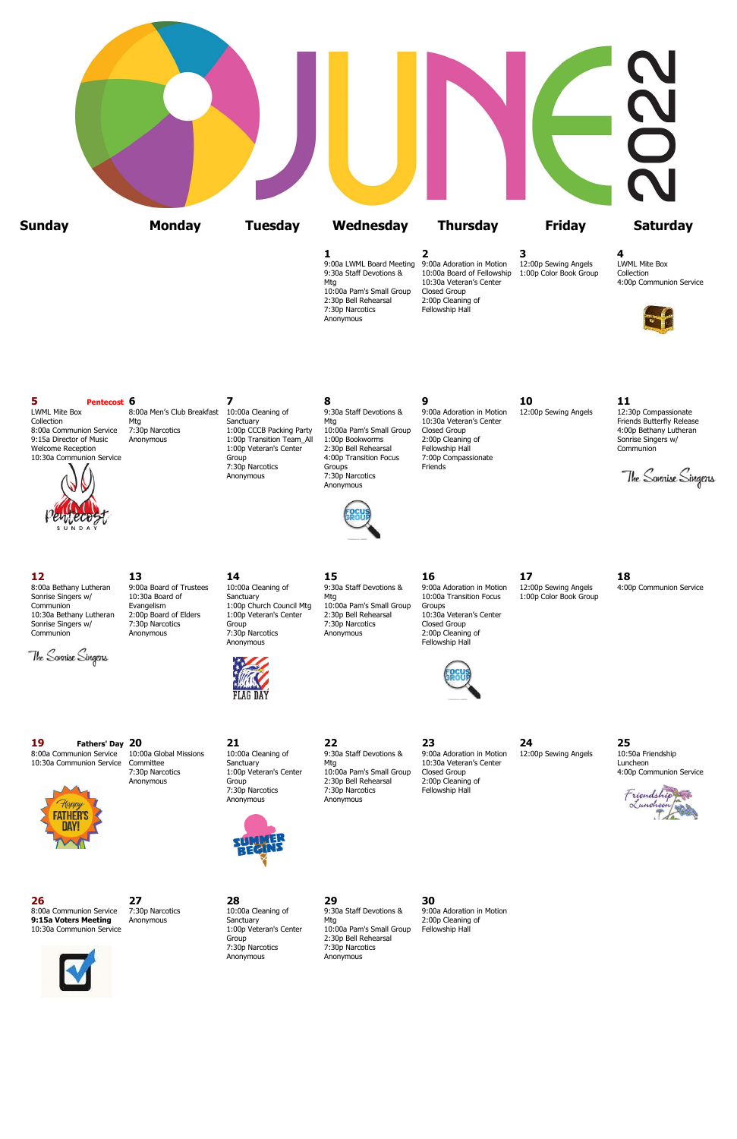|               |               |                |                                                                                                                                                                               |                                                                                                                                          |                                                     | L V                                                         |
|---------------|---------------|----------------|-------------------------------------------------------------------------------------------------------------------------------------------------------------------------------|------------------------------------------------------------------------------------------------------------------------------------------|-----------------------------------------------------|-------------------------------------------------------------|
| <b>Sunday</b> | <b>Monday</b> | <b>Tuesday</b> | Wednesday                                                                                                                                                                     | <b>Thursday</b>                                                                                                                          | <b>Friday</b>                                       | <b>Saturday</b>                                             |
|               |               |                | 1<br>9:00a LWML Board Meeting 9:00a Adoration in Motion<br>9:30a Staff Devotions &<br>Mtg<br>10:00a Pam's Small Group<br>2:30p Bell Rehearsal<br>7:30p Narcotics<br>Anonymous | $\overline{\mathbf{2}}$<br>10:00a Board of Fellowship<br>10:30a Veteran's Center<br>Closed Group<br>2:00p Cleaning of<br>Fellowship Hall | 3<br>12:00p Sewing Angels<br>1:00p Color Book Group | 4<br>LWML Mite Box<br>Collection<br>4:00p Communion Service |

## **5 Pentecost 6 7 8 9 10 11**



7:30p Narcotics Groups

LWML Mite Box 8:00a Men's Club Breakfast 10:00a Cleaning of 9:30a Staff Devotions & 9:00a Adoration in Motion 12:00p Sewing Angels 12:30p Compassionate Collection Mtg Mtg Sanctuary Mtg Sanctuary Mtg 10:30a Veteran's Center Eriends Butterfly Release<br>1:00p CCCB Packing Party 10:00a Pam's Small Group Closed Group Herre Friends Butterfly Release 1:00p Bethany Lutheran 8:00a Communion Service 7:30p Narcotics 1:00p CCCB Packing Party 10:00a Pam's Small Group Closed Group 4:00p Nation Service 7:30p Narcotics 1:00p CCCB Packing Party 10:00a Pam's Small Group Closed Group<br>9:15a Director of M 9:15a Director of Music Anonymous 1:00p Transition Team\_All 1:00p Bookworms 2:00p Cleaning Velcome Reception 1:00p Veteran's Center 2:30p Bell Rehearsal Fellowship Hall 1:00p Veteran's Center 2:30p Bell Rehearsal Fellowship Hall Communion Communion Communion 3:00p Communion Communion 10:30a Communion Service 6 10:30a Communion Service 6 10:30a Communion Service 6 10:30p Compassion Focus 7:00p<br>T:30p Narcotics 6 10:00p Transition Focus Friends Anonymous 7:30p Narcotics Anonymous

The Sonnise Singens

**19 Fathers' Day 20 21 22 23 24 25** 8:00a Communion Service 10:00a Global Missions 10:00a Cleaning of 9:30a Staff Devotions & 9:00a Adoration in Motion 12:00p Sewing Angels 10:50a Friendship of 9:30a Staff Devotions & 9:00a Adoration in Motion 12:00p Sewing



10:30a Communion Service Committee Sanctuary Sanctuary Mtg 10:30a Veteran's Center 10:30a Veteran's Center Luncheon<br>1:00p Veteran's Center 10:00a Pam's Small Group Closed Group 10:30a Veteran's Center 4:00p Communion Servi

Group 2:30p Bell Rehearsal<br>
2:30p Narcotics 7:30p Narcotics Anonymous Anonymous

2:30p Bell Rehearsal

7:30p Narcotics 1:00p Veteran's Center 10:00a Pam's Small Group Closed Group<br>Anonymous Group 2:30p Bell Rehearsal 2:00p Cleaning of 7:30p Narcotics Fellowship Hall<br>Anonymous



8:00a Communion Service 7:30p Narcotics 10:00a Cleaning of 9:30a Staff Devotions & 9:00a Adoration in Motion **9:15a Voters Meeting** Anonymous Sanctuary Mtg Mtg 2:00p Cleaning of 10:30a Communion Service 2000 Anonymous 1:00p Veteran's Center 10:00a Pam's Small Group Fellowship Hall

**12 13 14 15 16 17 18**



Sonrise Singers w/ 7:30p Narcotics Group 7:30p Narcotics Closed Group

The Sonnise Singens



Communion Manonymous 2:00p Narcotics Anonymous 2:00p Cleaning of Anonymous 2:00p Cleaning of Anonymous 2:00p Cleaning of Anonymous Anonymous 3.00p Narcotics Anonymous 3.00p Narcotics Anonymous 3.00p Narcotics 3.00p Narcoti

8:00a Bethany Lutheran 9:00a Board of Trustees 10:00a Cleaning of 9:30a Staff Devotions & 9:00a Adoration in Motion 12:00p Sewing Angels 4:00p Communion Service<br>Sonrise Singers w/ 10:30a Board of Sanctuary Mtg 10:00a Trans Sonrise Singers w/ 10:30a Board of Sanctuary Mtg Mtg 10:00a Transition Focus 1:00p Color Book Group<br>Communion Evangelism 1:00p Church Council Mtg 10:00a Pam's Small Group Groups Evangelism 1:00p Church Council Mtg 10:00a Pam's Small Group Groups<br>2:00p Board of Elders 1:00p Veteran's Center 2:30p Bell Rehearsal 10:30a Veteran's Center 10:30a Bethany Lutheran 2:00p Board of Elders 1:00p Veteran's Center 2:30p Bell Rehearsal 10:30a Vetera<br>
Sonrise Singers w/ 7:30p Narcotics Group 7:30p Narcotics Closed Group







# **26 27 28 29 30**

10:30a Communion Service 1:00p Veteran's Center 10:00a Pam's Small Group Fellowship Hall 7:30p Narcotics 7:30p Narcotics Anonymous Anonymous